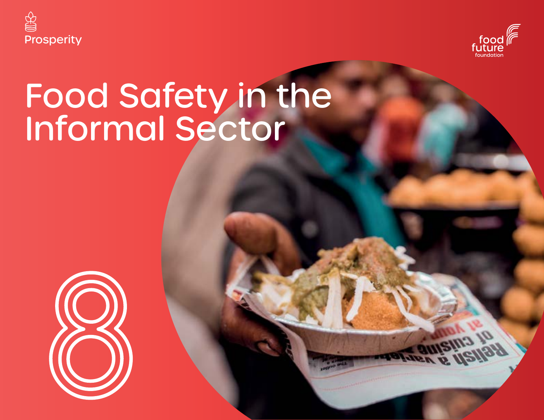



# Food Safety in the Informal Sector

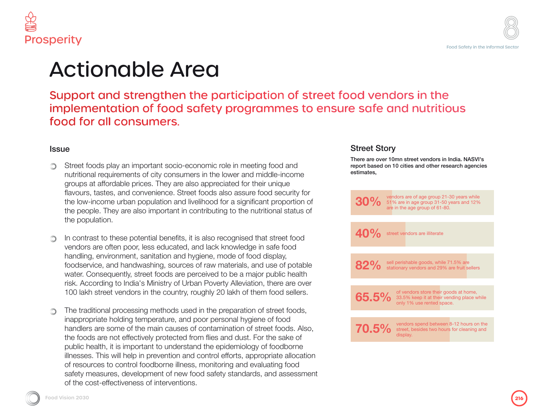



## Actionable Area

Support and strengthen the participation of street food vendors in the implementation of food safety programmes to ensure safe and nutritious food for all consumers.

#### **Issue**

- Street foods play an important socio-economic role in meeting food and ∩ nutritional requirements of city consumers in the lower and middle-income groups at affordable prices. They are also appreciated for their unique flavours, tastes, and convenience. Street foods also assure food security for the low-income urban population and livelihood for a significant proportion of the people. They are also important in contributing to the nutritional status of the population.
- In contrast to these potential benefits, it is also recognised that street food vendors are often poor, less educated, and lack knowledge in safe food handling, environment, sanitation and hygiene, mode of food display, foodservice, and handwashing, sources of raw materials, and use of potable water. Consequently, street foods are perceived to be a major public health risk. According to India's Ministry of Urban Poverty Alleviation, there are over 100 lakh street vendors in the country, roughly 20 lakh of them food sellers.
- The traditional processing methods used in the preparation of street foods, inappropriate holding temperature, and poor personal hygiene of food handlers are some of the main causes of contamination of street foods. Also, the foods are not effectively protected from flies and dust. For the sake of public health, it is important to understand the epidemiology of foodborne illnesses. This will help in prevention and control efforts, appropriate allocation of resources to control foodborne illness, monitoring and evaluating food safety measures, development of new food safety standards, and assessment of the cost-effectiveness of interventions.

### Street Story

There are over 10mn street vendors in India. NASVI's report based on 10 cities and other research agencies estimates,

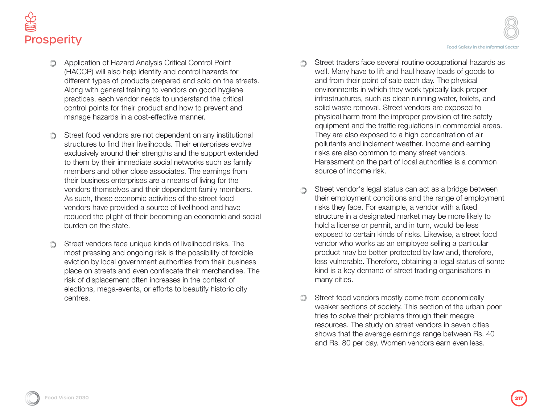

- Application of Hazard Analysis Critical Control Point (HACCP) will also help identify and control hazards for different types of products prepared and sold on the streets. Along with general training to vendors on good hygiene practices, each vendor needs to understand the critical control points for their product and how to prevent and manage hazards in a cost-effective manner.
- Street food vendors are not dependent on any institutional ∩ structures to find their livelihoods. Their enterprises evolve exclusively around their strengths and the support extended to them by their immediate social networks such as family members and other close associates. The earnings from their business enterprises are a means of living for the vendors themselves and their dependent family members. As such, these economic activities of the street food vendors have provided a source of livelihood and have reduced the plight of their becoming an economic and social burden on the state.
- Street vendors face unique kinds of livelihood risks. The ∩ most pressing and ongoing risk is the possibility of forcible eviction by local government authorities from their business place on streets and even confiscate their merchandise. The risk of displacement often increases in the context of elections, mega-events, or efforts to beautify historic city centres.
- Street traders face several routine occupational hazards as ∩ well. Many have to lift and haul heavy loads of goods to and from their point of sale each day. The physical environments in which they work typically lack proper infrastructures, such as clean running water, toilets, and solid waste removal. Street vendors are exposed to physical harm from the improper provision of fire safety equipment and the traffic regulations in commercial areas. They are also exposed to a high concentration of air pollutants and inclement weather. Income and earning risks are also common to many street vendors. Harassment on the part of local authorities is a common source of income risk.
- Street vendor's legal status can act as a bridge between ∩ their employment conditions and the range of employment risks they face. For example, a vendor with a fixed structure in a designated market may be more likely to hold a license or permit, and in turn, would be less exposed to certain kinds of risks. Likewise, a street food vendor who works as an employee selling a particular product may be better protected by law and, therefore, less vulnerable. Therefore, obtaining a legal status of some kind is a key demand of street trading organisations in many cities.
- Street food vendors mostly come from economically  $\circledcirc$ weaker sections of society. This section of the urban poor tries to solve their problems through their meagre resources. The study on street vendors in seven cities shows that the average earnings range between Rs. 40 and Rs. 80 per day. Women vendors earn even less.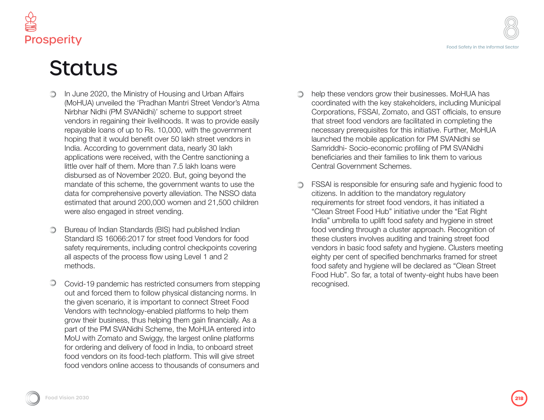

# **Status**

- In June 2020, the Ministry of Housing and Urban Affairs  $\bigcirc$ (MoHUA) unveiled the 'Pradhan Mantri Street Vendor's Atma Nirbhar Nidhi (PM SVANidhi)' scheme to support street vendors in regaining their livelihoods. It was to provide easily repayable loans of up to Rs. 10,000, with the government hoping that it would benefit over 50 lakh street vendors in India. According to government data, nearly 30 lakh applications were received, with the Centre sanctioning a little over half of them. More than 7.5 lakh loans were disbursed as of November 2020. But, going beyond the mandate of this scheme, the government wants to use the data for comprehensive poverty alleviation. The NSSO data estimated that around 200,000 women and 21,500 children were also engaged in street vending.
- Bureau of Indian Standards (BIS) had published Indian ∩ Standard IS 16066:2017 for street food Vendors for food safety requirements, including control checkpoints covering all aspects of the process flow using Level 1 and 2 methods.
- Covid-19 pandemic has restricted consumers from stepping  $\circledcirc$ out and forced them to follow physical distancing norms. In the given scenario, it is important to connect Street Food Vendors with technology-enabled platforms to help them grow their business, thus helping them gain financially. As a part of the PM SVANidhi Scheme, the MoHUA entered into MoU with Zomato and Swiggy, the largest online platforms for ordering and delivery of food in India, to onboard street food vendors on its food-tech platform. This will give street food vendors online access to thousands of consumers and
- help these vendors grow their businesses. MoHUA has ∩ coordinated with the key stakeholders, including Municipal Corporations, FSSAI, Zomato, and GST officials, to ensure that street food vendors are facilitated in completing the necessary prerequisites for this initiative. Further, MoHUA launched the mobile application for PM SVANidhi se Samriddhi- Socio-economic profiling of PM SVANidhi beneficiaries and their families to link them to various Central Government Schemes.
- FSSAI is responsible for ensuring safe and hygienic food to citizens. In addition to the mandatory regulatory requirements for street food vendors, it has initiated a "Clean Street Food Hub" initiative under the "Eat Right India" umbrella to uplift food safety and hygiene in street food vending through a cluster approach. Recognition of these clusters involves auditing and training street food vendors in basic food safety and hygiene. Clusters meeting eighty per cent of specified benchmarks framed for street food safety and hygiene will be declared as "Clean Street Food Hub". So far, a total of twenty-eight hubs have been recognised.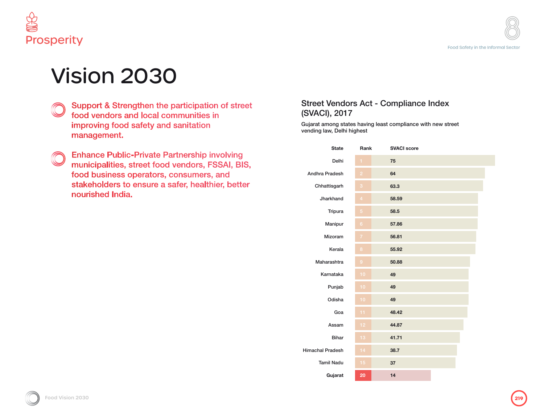

# Vision 2030

- Support & Strengthen the participation of street food vendors and local communities in improving food safety and sanitation management.
- **Enhance Public-Private Partnership involving** municipalities, street food vendors, FSSAI, BIS, food business operators, consumers, and stakeholders to ensure a safer, healthier, better nourished India.

### Street Vendors Act - Compliance Index (SVACI), 2017

Gujarat among states having least compliance with new street vending law, Delhi highest

| <b>State</b>            | Rank             | <b>SVACI score</b> |
|-------------------------|------------------|--------------------|
| Delhi                   | 1                | 75                 |
| Andhra Pradesh          | $\overline{2}$   | 64                 |
| Chhattisgarh            | 3                | 63.3               |
| Jharkhand               | $\overline{4}$   | 58.59              |
| Tripura                 | 5                | 58.5               |
| Manipur                 | $6\phantom{a}$   | 57.86              |
| Mizoram                 | $\overline{7}$   | 56.81              |
| Kerala                  | $\boldsymbol{8}$ | 55.92              |
| Maharashtra             | $\overline{9}$   | 50.88              |
| Karnataka               | 10               | 49                 |
| Punjab                  | 10               | 49                 |
| Odisha                  | 10               | 49                 |
| Goa                     | 11               | 48.42              |
| Assam                   | 12               | 44.87              |
| <b>Bihar</b>            | 13               | 41.71              |
| <b>Himachal Pradesh</b> | 14               | 38.7               |
| <b>Tamil Nadu</b>       | 15               | 37                 |
| Gujarat                 | 20               | 14                 |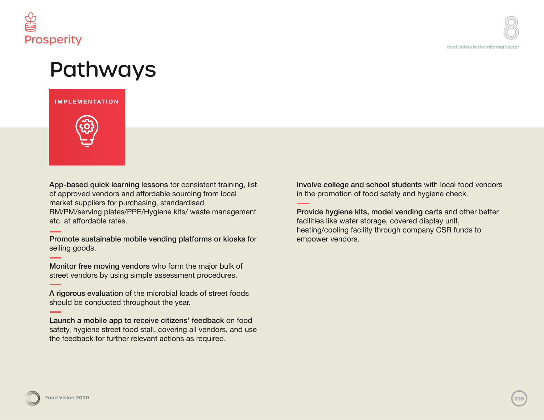

### Pathways

#### **IMPLEMENTATION**



App-based quick learning lessons for consistent training, list of approved vendors and affordable sourcing from local market suppliers for purchasing, standardised RM/PM/serving plates/PPE/Hygiene kits/ waste management etc. at affordable rates.

Promote sustainable mobile vending platforms or kiosks for selling goods.

Monitor free moving vendors who form the major bulk of street vendors by using simple assessment procedures.

A rigorous evaluation of the microbial loads of street foods should be conducted throughout the year.

Launch a mobile app to receive citizens' feedback on food safety, hygiene street food stall, covering all vendors, and use the feedback for further relevant actions as required.

Involve college and school students with local food vendors in the promotion of food safety and hygiene check.

Provide hygiene kits, model vending carts and other better facilities like water storage, covered display unit, heating/cooling facility through company CSR funds to empower vendors.